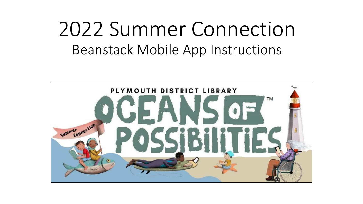## 2022 Summer Connection Beanstack Mobile App Instructions

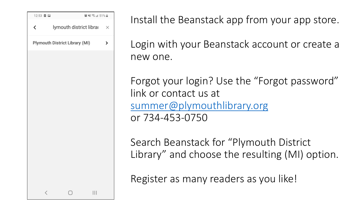

Install the Beanstack app from your app store.

Login with your Beanstack account or create a new one.

Forgot your login? Use the "Forgot password" link or contact us at [summer@plymouthlibrary.org](mailto:summer@plymouthlibrary.org) or 734-453-0750

Search Beanstack for "Plymouth District Library" and choose the resulting (MI) option.

Register as many readers as you like!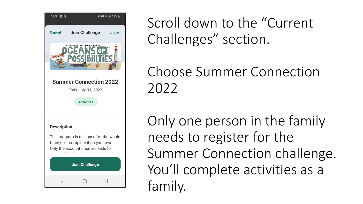

Scroll down to the "Current Challenges" section.

Choose Summer Connection 2022

Only one person in the family needs to register for the Summer Connection challenge. You'll complete activities as a family.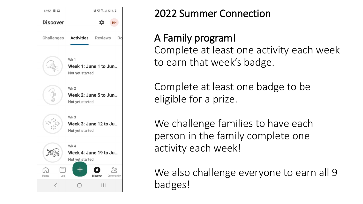

## 2022 Summer Connection

A Family program! Complete at least one activity each week to earn that week's badge.

Complete at least one badge to be eligible for a prize.

We challenge families to have each person in the family complete one activity each week!

We also challenge everyone to earn all 9 badges!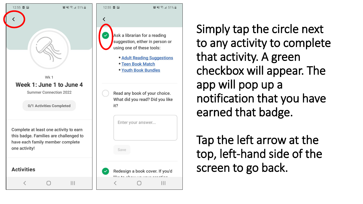



 $\circ$   $\leq$   $\leq$   $\leq$  1 51%

Simply tap the circle next to any activity to complete that activity. A green checkbox will appear. The app will pop up a notification that you have earned that badge.

Tap the left arrow at the top, left-hand side of the screen to go back.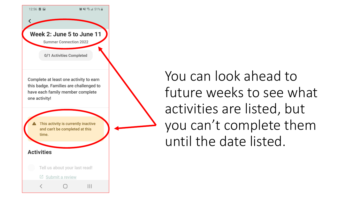

You can look ahead to future weeks to see what activities are listed, but you can't complete them until the date listed.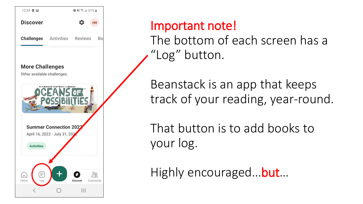

## Important note!

The bottom of each screen has a "Log" button.

Beanstack is an app that keeps track of your reading, year-round.

That button is to add books to your log.

Highly encouraged... **but**...